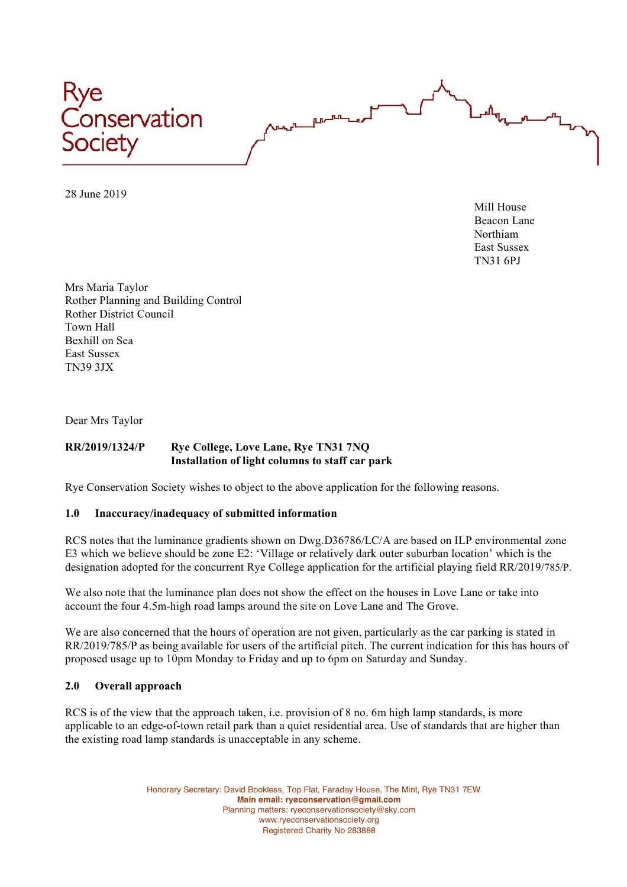

28 June 2019

Mill House Beacon Lane Northiam East Sussex TN31 6PJ

Mrs Maria Taylor Rother Planning and Building Control Rother District Council Town Hall Bexhill on Sea East Sussex TN39 3JX

Dear Mrs Taylor

## **RR/2019/1324/P Rye College, Love Lane, Rye TN31 7NQ Installation of light columns to staff car park**

Rye Conservation Society wishes to object to the above application for the following reasons.

## **1.0 Inaccuracy/inadequacy of submitted information**

RCS notes that the luminance gradients shown on Dwg.D36786/LC/A are based on ILP environmental zone E3 which we believe should be zone E2: 'Village or relatively dark outer suburban location' which is the designation adopted for the concurrent Rye College application for the artificial playing field RR/2019/785/P.

We also note that the luminance plan does not show the effect on the houses in Love Lane or take into account the four 4.5m-high road lamps around the site on Love Lane and The Grove.

We are also concerned that the hours of operation are not given, particularly as the car parking is stated in RR/2019/785/P as being available for users of the artificial pitch. The current indication for this has hours of proposed usage up to 10pm Monday to Friday and up to 6pm on Saturday and Sunday.

## **2.0 Overall approach**

RCS is of the view that the approach taken, i.e. provision of 8 no. 6m high lamp standards, is more applicable to an edge-of-town retail park than a quiet residential area. Use of standards that are higher than the existing road lamp standards is unacceptable in any scheme.

> Honorary Secretary: David Bookless, Top Flat, Faraday House, The Mint, Rye TN31 7EW **Main email: ryeconservation@gmail.com** Planning matters: ryeconservationsociety@sky.com www.ryeconservationsociety.org Registered Charity No 283888